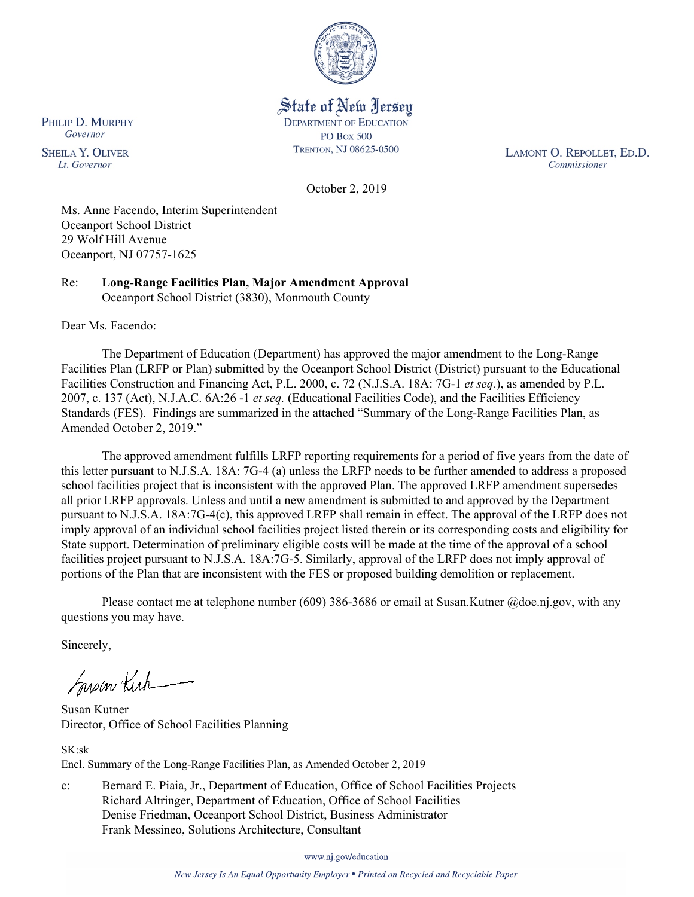

State of New Jersey **DEPARTMENT OF EDUCATION PO Box 500** TRENTON, NJ 08625-0500

LAMONT O. REPOLLET, ED.D. Commissioner

October 2, 2019

Ms. Anne Facendo, Interim Superintendent Oceanport School District 29 Wolf Hill Avenue Oceanport, NJ 07757-1625

Re: **Long-Range Facilities Plan, Major Amendment Approval** Oceanport School District (3830), Monmouth County

Dear Ms. Facendo:

The Department of Education (Department) has approved the major amendment to the Long-Range Facilities Plan (LRFP or Plan) submitted by the Oceanport School District (District) pursuant to the Educational Facilities Construction and Financing Act, P.L. 2000, c. 72 (N.J.S.A. 18A: 7G-1 *et seq.*), as amended by P.L. 2007, c. 137 (Act), N.J.A.C. 6A:26 -1 *et seq.* (Educational Facilities Code), and the Facilities Efficiency Standards (FES). Findings are summarized in the attached "Summary of the Long-Range Facilities Plan, as Amended October 2, 2019."

The approved amendment fulfills LRFP reporting requirements for a period of five years from the date of this letter pursuant to N.J.S.A. 18A: 7G-4 (a) unless the LRFP needs to be further amended to address a proposed school facilities project that is inconsistent with the approved Plan. The approved LRFP amendment supersedes all prior LRFP approvals. Unless and until a new amendment is submitted to and approved by the Department pursuant to N.J.S.A. 18A:7G-4(c), this approved LRFP shall remain in effect. The approval of the LRFP does not imply approval of an individual school facilities project listed therein or its corresponding costs and eligibility for State support. Determination of preliminary eligible costs will be made at the time of the approval of a school facilities project pursuant to N.J.S.A. 18A:7G-5. Similarly, approval of the LRFP does not imply approval of portions of the Plan that are inconsistent with the FES or proposed building demolition or replacement.

Please contact me at telephone number (609) 386-3686 or email at Susan.Kutner @doe.nj.gov, with any questions you may have.

Sincerely,

Susan Kich

Susan Kutner Director, Office of School Facilities Planning

SK:sk Encl. Summary of the Long-Range Facilities Plan, as Amended October 2, 2019

c: Bernard E. Piaia, Jr., Department of Education, Office of School Facilities Projects Richard Altringer, Department of Education, Office of School Facilities Denise Friedman, Oceanport School District, Business Administrator Frank Messineo, Solutions Architecture, Consultant

www.nj.gov/education

New Jersey Is An Equal Opportunity Employer . Printed on Recycled and Recyclable Paper

PHILIP D. MURPHY Governor

**SHEILA Y. OLIVER** Lt. Governor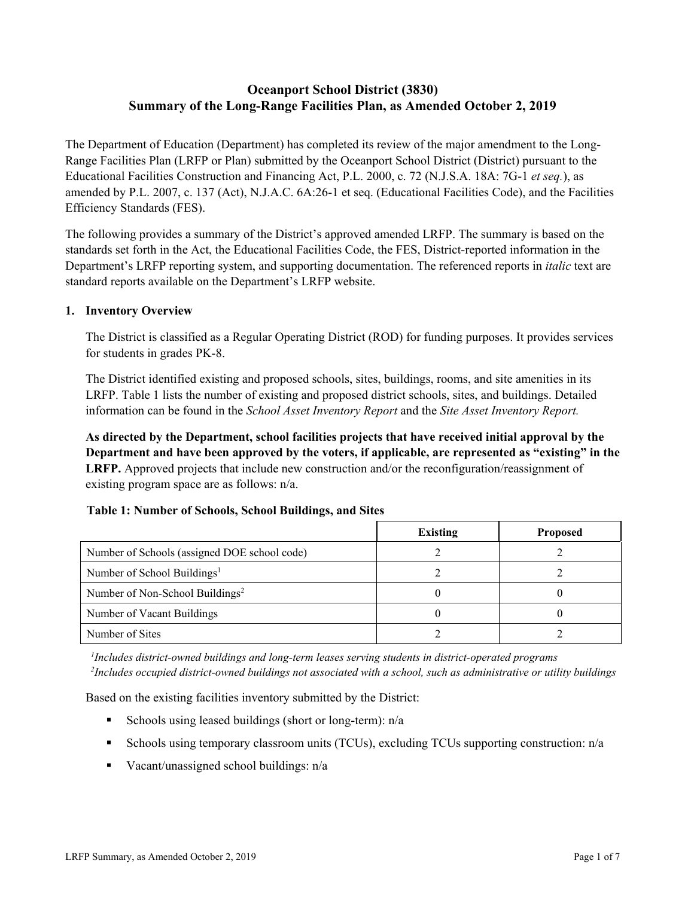# **Oceanport School District (3830) Summary of the Long-Range Facilities Plan, as Amended October 2, 2019**

The Department of Education (Department) has completed its review of the major amendment to the Long-Range Facilities Plan (LRFP or Plan) submitted by the Oceanport School District (District) pursuant to the Educational Facilities Construction and Financing Act, P.L. 2000, c. 72 (N.J.S.A. 18A: 7G-1 *et seq.*), as amended by P.L. 2007, c. 137 (Act), N.J.A.C. 6A:26-1 et seq. (Educational Facilities Code), and the Facilities Efficiency Standards (FES).

The following provides a summary of the District's approved amended LRFP. The summary is based on the standards set forth in the Act, the Educational Facilities Code, the FES, District-reported information in the Department's LRFP reporting system, and supporting documentation. The referenced reports in *italic* text are standard reports available on the Department's LRFP website.

# **1. Inventory Overview**

The District is classified as a Regular Operating District (ROD) for funding purposes. It provides services for students in grades PK-8.

The District identified existing and proposed schools, sites, buildings, rooms, and site amenities in its LRFP. Table 1 lists the number of existing and proposed district schools, sites, and buildings. Detailed information can be found in the *School Asset Inventory Report* and the *Site Asset Inventory Report.*

**As directed by the Department, school facilities projects that have received initial approval by the Department and have been approved by the voters, if applicable, are represented as "existing" in the LRFP.** Approved projects that include new construction and/or the reconfiguration/reassignment of existing program space are as follows: n/a.

# **Table 1: Number of Schools, School Buildings, and Sites**

|                                              | <b>Existing</b> | <b>Proposed</b> |
|----------------------------------------------|-----------------|-----------------|
| Number of Schools (assigned DOE school code) |                 |                 |
| Number of School Buildings <sup>1</sup>      |                 |                 |
| Number of Non-School Buildings <sup>2</sup>  |                 |                 |
| Number of Vacant Buildings                   |                 |                 |
| Number of Sites                              |                 |                 |

*1 Includes district-owned buildings and long-term leases serving students in district-operated programs 2 Includes occupied district-owned buildings not associated with a school, such as administrative or utility buildings*

Based on the existing facilities inventory submitted by the District:

- Schools using leased buildings (short or long-term):  $n/a$
- Schools using temporary classroom units (TCUs), excluding TCUs supporting construction: n/a
- Vacant/unassigned school buildings:  $n/a$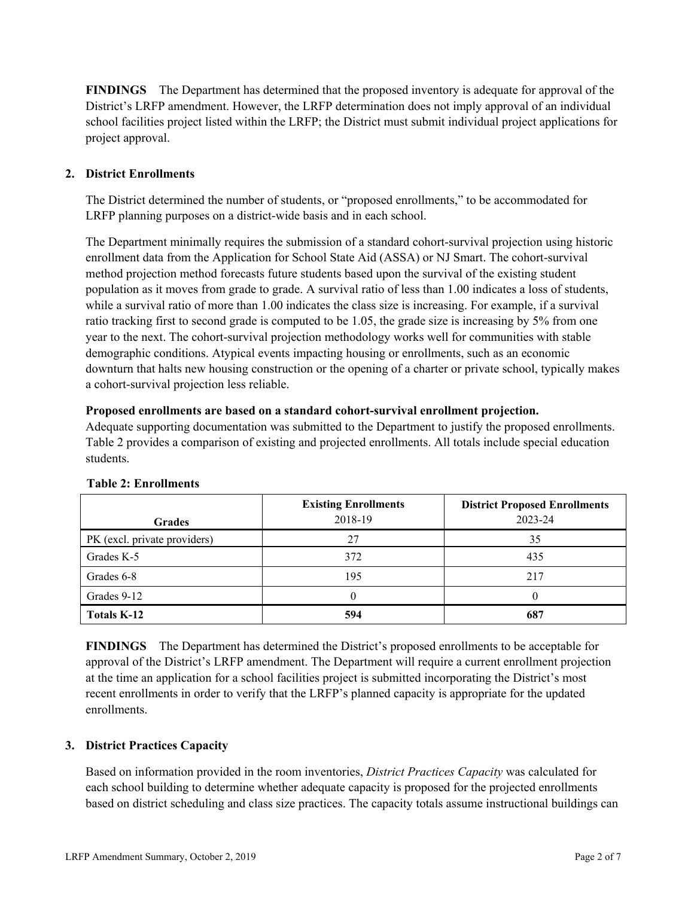**FINDINGS** The Department has determined that the proposed inventory is adequate for approval of the District's LRFP amendment. However, the LRFP determination does not imply approval of an individual school facilities project listed within the LRFP; the District must submit individual project applications for project approval.

# **2. District Enrollments**

The District determined the number of students, or "proposed enrollments," to be accommodated for LRFP planning purposes on a district-wide basis and in each school.

The Department minimally requires the submission of a standard cohort-survival projection using historic enrollment data from the Application for School State Aid (ASSA) or NJ Smart. The cohort-survival method projection method forecasts future students based upon the survival of the existing student population as it moves from grade to grade. A survival ratio of less than 1.00 indicates a loss of students, while a survival ratio of more than 1.00 indicates the class size is increasing. For example, if a survival ratio tracking first to second grade is computed to be 1.05, the grade size is increasing by 5% from one year to the next. The cohort-survival projection methodology works well for communities with stable demographic conditions. Atypical events impacting housing or enrollments, such as an economic downturn that halts new housing construction or the opening of a charter or private school, typically makes a cohort-survival projection less reliable.

### **Proposed enrollments are based on a standard cohort-survival enrollment projection.**

Adequate supporting documentation was submitted to the Department to justify the proposed enrollments. Table 2 provides a comparison of existing and projected enrollments. All totals include special education students.

| <b>Grades</b>                | <b>Existing Enrollments</b><br>2018-19 | <b>District Proposed Enrollments</b><br>2023-24 |
|------------------------------|----------------------------------------|-------------------------------------------------|
| PK (excl. private providers) | 27                                     | 35                                              |
| Grades K-5                   | 372                                    | 435                                             |
| Grades 6-8                   | 195                                    | 217                                             |
| Grades 9-12                  |                                        |                                                 |
| <b>Totals K-12</b>           | 594                                    | 687                                             |

### **Table 2: Enrollments**

**FINDINGS** The Department has determined the District's proposed enrollments to be acceptable for approval of the District's LRFP amendment. The Department will require a current enrollment projection at the time an application for a school facilities project is submitted incorporating the District's most recent enrollments in order to verify that the LRFP's planned capacity is appropriate for the updated enrollments.

### **3. District Practices Capacity**

Based on information provided in the room inventories, *District Practices Capacity* was calculated for each school building to determine whether adequate capacity is proposed for the projected enrollments based on district scheduling and class size practices. The capacity totals assume instructional buildings can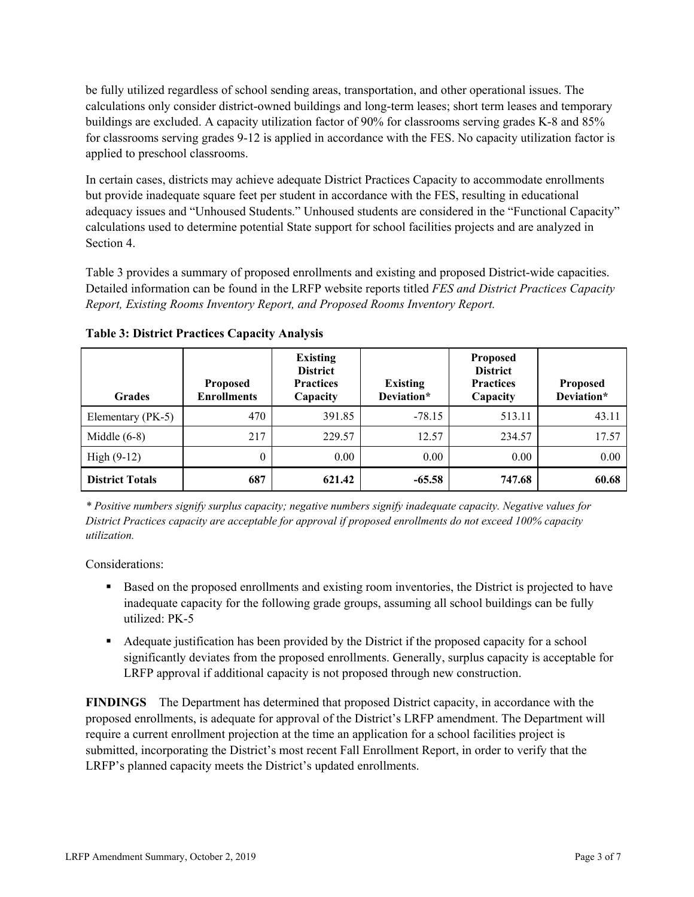be fully utilized regardless of school sending areas, transportation, and other operational issues. The calculations only consider district-owned buildings and long-term leases; short term leases and temporary buildings are excluded. A capacity utilization factor of 90% for classrooms serving grades K-8 and 85% for classrooms serving grades 9-12 is applied in accordance with the FES. No capacity utilization factor is applied to preschool classrooms.

In certain cases, districts may achieve adequate District Practices Capacity to accommodate enrollments but provide inadequate square feet per student in accordance with the FES, resulting in educational adequacy issues and "Unhoused Students." Unhoused students are considered in the "Functional Capacity" calculations used to determine potential State support for school facilities projects and are analyzed in Section 4.

Table 3 provides a summary of proposed enrollments and existing and proposed District-wide capacities. Detailed information can be found in the LRFP website reports titled *FES and District Practices Capacity Report, Existing Rooms Inventory Report, and Proposed Rooms Inventory Report.*

| <b>Grades</b>          | <b>Proposed</b><br><b>Enrollments</b> | <b>Existing</b><br><b>District</b><br><b>Practices</b><br>Capacity | <b>Existing</b><br>Deviation* | <b>Proposed</b><br><b>District</b><br><b>Practices</b><br>Capacity | <b>Proposed</b><br>Deviation* |
|------------------------|---------------------------------------|--------------------------------------------------------------------|-------------------------------|--------------------------------------------------------------------|-------------------------------|
| Elementary (PK-5)      | 470                                   | 391.85                                                             | $-78.15$                      | 513.11                                                             | 43.11                         |
| Middle $(6-8)$         | 217                                   | 229.57                                                             | 12.57                         | 234.57                                                             | 17.57                         |
| High $(9-12)$          | $\theta$                              | 0.00                                                               | 0.00                          | 0.00                                                               | 0.00                          |
| <b>District Totals</b> | 687                                   | 621.42                                                             | $-65.58$                      | 747.68                                                             | 60.68                         |

**Table 3: District Practices Capacity Analysis**

*\* Positive numbers signify surplus capacity; negative numbers signify inadequate capacity. Negative values for District Practices capacity are acceptable for approval if proposed enrollments do not exceed 100% capacity utilization.*

Considerations:

- Based on the proposed enrollments and existing room inventories, the District is projected to have inadequate capacity for the following grade groups, assuming all school buildings can be fully utilized: PK-5
- Adequate justification has been provided by the District if the proposed capacity for a school significantly deviates from the proposed enrollments. Generally, surplus capacity is acceptable for LRFP approval if additional capacity is not proposed through new construction.

**FINDINGS**The Department has determined that proposed District capacity, in accordance with the proposed enrollments, is adequate for approval of the District's LRFP amendment. The Department will require a current enrollment projection at the time an application for a school facilities project is submitted, incorporating the District's most recent Fall Enrollment Report, in order to verify that the LRFP's planned capacity meets the District's updated enrollments.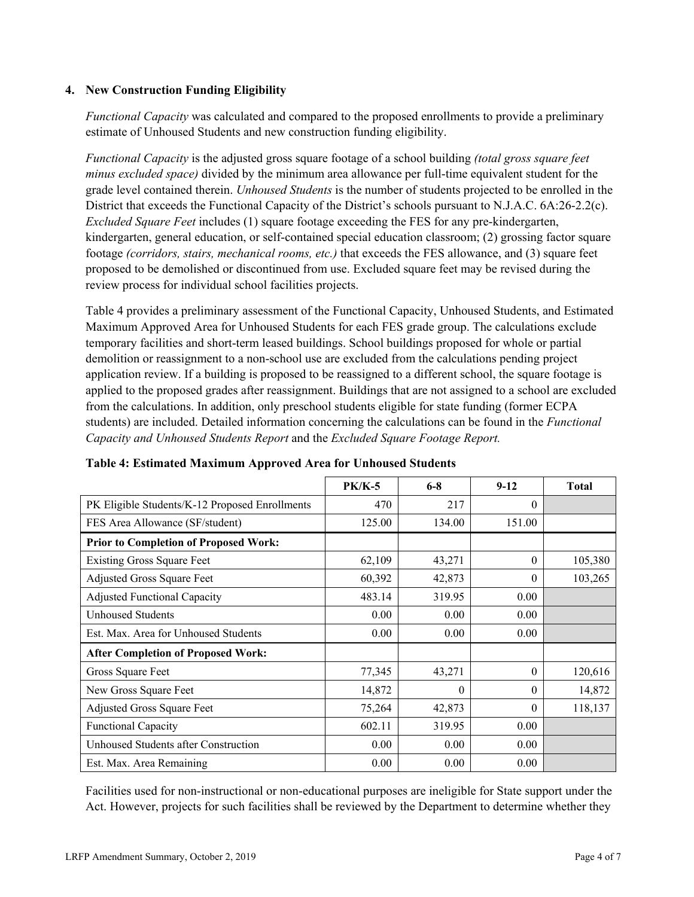### **4. New Construction Funding Eligibility**

*Functional Capacity* was calculated and compared to the proposed enrollments to provide a preliminary estimate of Unhoused Students and new construction funding eligibility.

*Functional Capacity* is the adjusted gross square footage of a school building *(total gross square feet minus excluded space)* divided by the minimum area allowance per full-time equivalent student for the grade level contained therein. *Unhoused Students* is the number of students projected to be enrolled in the District that exceeds the Functional Capacity of the District's schools pursuant to N.J.A.C. 6A:26-2.2(c). *Excluded Square Feet* includes (1) square footage exceeding the FES for any pre-kindergarten, kindergarten, general education, or self-contained special education classroom; (2) grossing factor square footage *(corridors, stairs, mechanical rooms, etc.)* that exceeds the FES allowance, and (3) square feet proposed to be demolished or discontinued from use. Excluded square feet may be revised during the review process for individual school facilities projects.

Table 4 provides a preliminary assessment of the Functional Capacity, Unhoused Students, and Estimated Maximum Approved Area for Unhoused Students for each FES grade group. The calculations exclude temporary facilities and short-term leased buildings. School buildings proposed for whole or partial demolition or reassignment to a non-school use are excluded from the calculations pending project application review. If a building is proposed to be reassigned to a different school, the square footage is applied to the proposed grades after reassignment. Buildings that are not assigned to a school are excluded from the calculations. In addition, only preschool students eligible for state funding (former ECPA students) are included. Detailed information concerning the calculations can be found in the *Functional Capacity and Unhoused Students Report* and the *Excluded Square Footage Report.*

|                                                | $PK/K-5$ | $6 - 8$  | $9-12$   | <b>Total</b> |
|------------------------------------------------|----------|----------|----------|--------------|
| PK Eligible Students/K-12 Proposed Enrollments | 470      | 217      | $\Omega$ |              |
| FES Area Allowance (SF/student)                | 125.00   | 134.00   | 151.00   |              |
| <b>Prior to Completion of Proposed Work:</b>   |          |          |          |              |
| <b>Existing Gross Square Feet</b>              | 62,109   | 43,271   | $\theta$ | 105,380      |
| <b>Adjusted Gross Square Feet</b>              | 60,392   | 42,873   | $\theta$ | 103,265      |
| <b>Adjusted Functional Capacity</b>            | 483.14   | 319.95   | 0.00     |              |
| Unhoused Students                              | 0.00     | 0.00     | 0.00     |              |
| Est. Max. Area for Unhoused Students           | 0.00     | 0.00     | 0.00     |              |
| <b>After Completion of Proposed Work:</b>      |          |          |          |              |
| Gross Square Feet                              | 77,345   | 43,271   | $\theta$ | 120,616      |
| New Gross Square Feet                          | 14,872   | $\theta$ | $\theta$ | 14,872       |
| Adjusted Gross Square Feet                     | 75,264   | 42,873   | $\Omega$ | 118,137      |
| <b>Functional Capacity</b>                     | 602.11   | 319.95   | 0.00     |              |
| Unhoused Students after Construction           | 0.00     | 0.00     | 0.00     |              |
| Est. Max. Area Remaining                       | 0.00     | 0.00     | 0.00     |              |

### **Table 4: Estimated Maximum Approved Area for Unhoused Students**

Facilities used for non-instructional or non-educational purposes are ineligible for State support under the Act. However, projects for such facilities shall be reviewed by the Department to determine whether they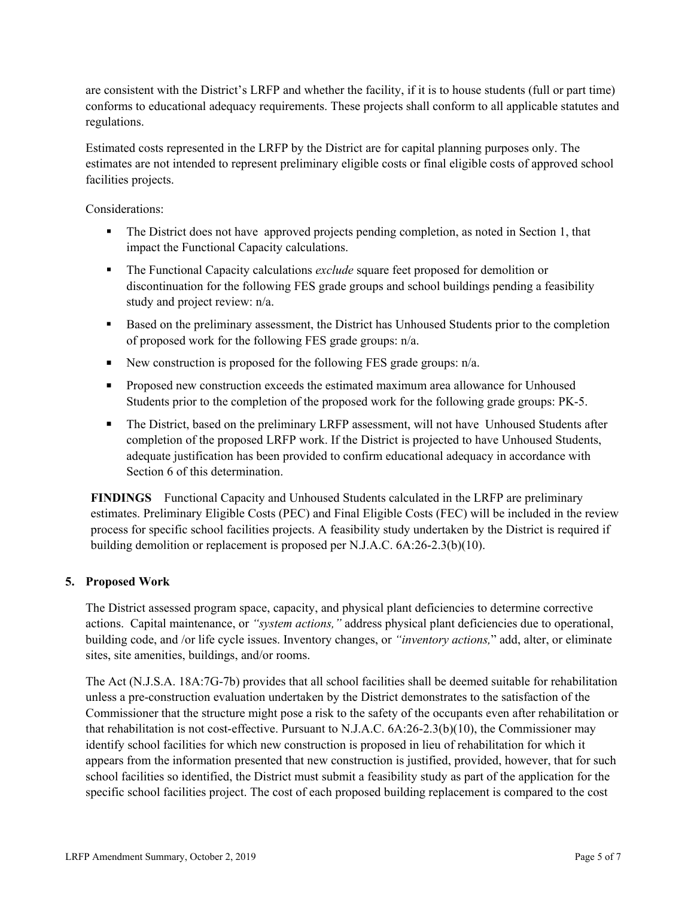are consistent with the District's LRFP and whether the facility, if it is to house students (full or part time) conforms to educational adequacy requirements. These projects shall conform to all applicable statutes and regulations.

Estimated costs represented in the LRFP by the District are for capital planning purposes only. The estimates are not intended to represent preliminary eligible costs or final eligible costs of approved school facilities projects.

Considerations:

- The District does not have approved projects pending completion, as noted in Section 1, that impact the Functional Capacity calculations.
- The Functional Capacity calculations *exclude* square feet proposed for demolition or discontinuation for the following FES grade groups and school buildings pending a feasibility study and project review: n/a.
- Based on the preliminary assessment, the District has Unhoused Students prior to the completion of proposed work for the following FES grade groups: n/a.
- New construction is proposed for the following FES grade groups:  $n/a$ .
- **Proposed new construction exceeds the estimated maximum area allowance for Unhoused** Students prior to the completion of the proposed work for the following grade groups: PK-5.
- The District, based on the preliminary LRFP assessment, will not have Unhoused Students after completion of the proposed LRFP work. If the District is projected to have Unhoused Students, adequate justification has been provided to confirm educational adequacy in accordance with Section 6 of this determination.

**FINDINGS** Functional Capacity and Unhoused Students calculated in the LRFP are preliminary estimates. Preliminary Eligible Costs (PEC) and Final Eligible Costs (FEC) will be included in the review process for specific school facilities projects. A feasibility study undertaken by the District is required if building demolition or replacement is proposed per N.J.A.C. 6A:26-2.3(b)(10).

### **5. Proposed Work**

The District assessed program space, capacity, and physical plant deficiencies to determine corrective actions. Capital maintenance, or *"system actions,"* address physical plant deficiencies due to operational, building code, and /or life cycle issues. Inventory changes, or *"inventory actions,*" add, alter, or eliminate sites, site amenities, buildings, and/or rooms.

The Act (N.J.S.A. 18A:7G-7b) provides that all school facilities shall be deemed suitable for rehabilitation unless a pre-construction evaluation undertaken by the District demonstrates to the satisfaction of the Commissioner that the structure might pose a risk to the safety of the occupants even after rehabilitation or that rehabilitation is not cost-effective. Pursuant to N.J.A.C. 6A:26-2.3(b)(10), the Commissioner may identify school facilities for which new construction is proposed in lieu of rehabilitation for which it appears from the information presented that new construction is justified, provided, however, that for such school facilities so identified, the District must submit a feasibility study as part of the application for the specific school facilities project. The cost of each proposed building replacement is compared to the cost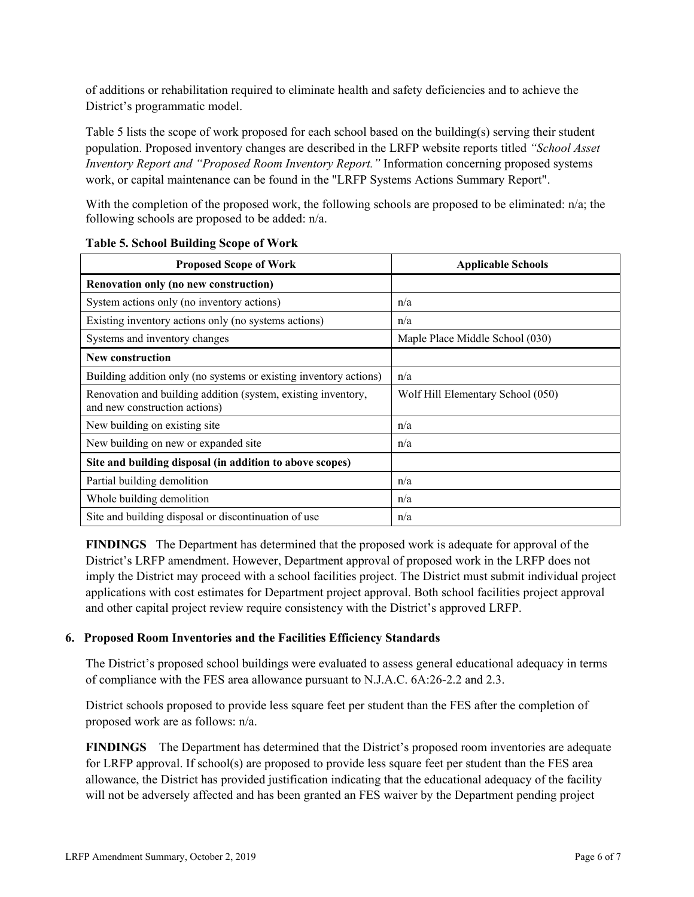of additions or rehabilitation required to eliminate health and safety deficiencies and to achieve the District's programmatic model.

Table 5 lists the scope of work proposed for each school based on the building(s) serving their student population. Proposed inventory changes are described in the LRFP website reports titled *"School Asset Inventory Report and "Proposed Room Inventory Report."* Information concerning proposed systems work, or capital maintenance can be found in the "LRFP Systems Actions Summary Report".

With the completion of the proposed work, the following schools are proposed to be eliminated: n/a; the following schools are proposed to be added: n/a.

| <b>Proposed Scope of Work</b>                                                                  | <b>Applicable Schools</b>         |
|------------------------------------------------------------------------------------------------|-----------------------------------|
| Renovation only (no new construction)                                                          |                                   |
| System actions only (no inventory actions)                                                     | n/a                               |
| Existing inventory actions only (no systems actions)                                           | n/a                               |
| Systems and inventory changes                                                                  | Maple Place Middle School (030)   |
| <b>New construction</b>                                                                        |                                   |
| Building addition only (no systems or existing inventory actions)                              | n/a                               |
| Renovation and building addition (system, existing inventory,<br>and new construction actions) | Wolf Hill Elementary School (050) |
| New building on existing site                                                                  | n/a                               |
| New building on new or expanded site                                                           | n/a                               |
| Site and building disposal (in addition to above scopes)                                       |                                   |
| Partial building demolition                                                                    | n/a                               |
| Whole building demolition                                                                      | n/a                               |
| Site and building disposal or discontinuation of use                                           | n/a                               |

### **Table 5. School Building Scope of Work**

**FINDINGS** The Department has determined that the proposed work is adequate for approval of the District's LRFP amendment. However, Department approval of proposed work in the LRFP does not imply the District may proceed with a school facilities project. The District must submit individual project applications with cost estimates for Department project approval. Both school facilities project approval and other capital project review require consistency with the District's approved LRFP.

# **6. Proposed Room Inventories and the Facilities Efficiency Standards**

The District's proposed school buildings were evaluated to assess general educational adequacy in terms of compliance with the FES area allowance pursuant to N.J.A.C. 6A:26-2.2 and 2.3.

District schools proposed to provide less square feet per student than the FES after the completion of proposed work are as follows: n/a.

**FINDINGS** The Department has determined that the District's proposed room inventories are adequate for LRFP approval. If school(s) are proposed to provide less square feet per student than the FES area allowance, the District has provided justification indicating that the educational adequacy of the facility will not be adversely affected and has been granted an FES waiver by the Department pending project